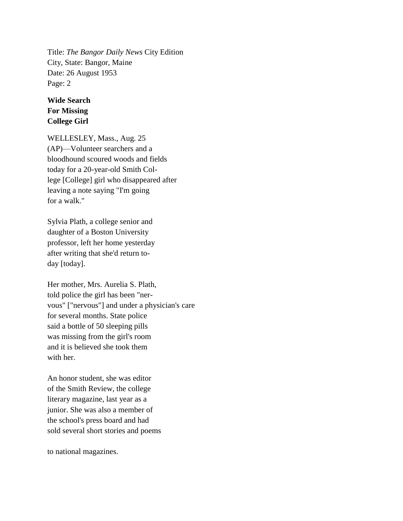Title: *The Bangor Daily News* City Edition City, State: Bangor, Maine Date: 26 August 1953 Page: 2

## **Wide Search For Missing College Girl**

WELLESLEY, Mass., Aug. 25 (AP)—Volunteer searchers and a bloodhound scoured woods and fields today for a 20-year-old Smith College [College] girl who disappeared after leaving a note saying "I'm going for a walk."

Sylvia Plath, a college senior and daughter of a Boston University professor, left her home yesterday after writing that she'd return today [today].

Her mother, Mrs. Aurelia S. Plath, told police the girl has been "nervous" ["nervous"] and under a physician's care for several months. State police said a bottle of 50 sleeping pills was missing from the girl's room and it is believed she took them with her.

An honor student, she was editor of the Smith Review, the college literary magazine, last year as a junior. She was also a member of the school's press board and had sold several short stories and poems

to national magazines.